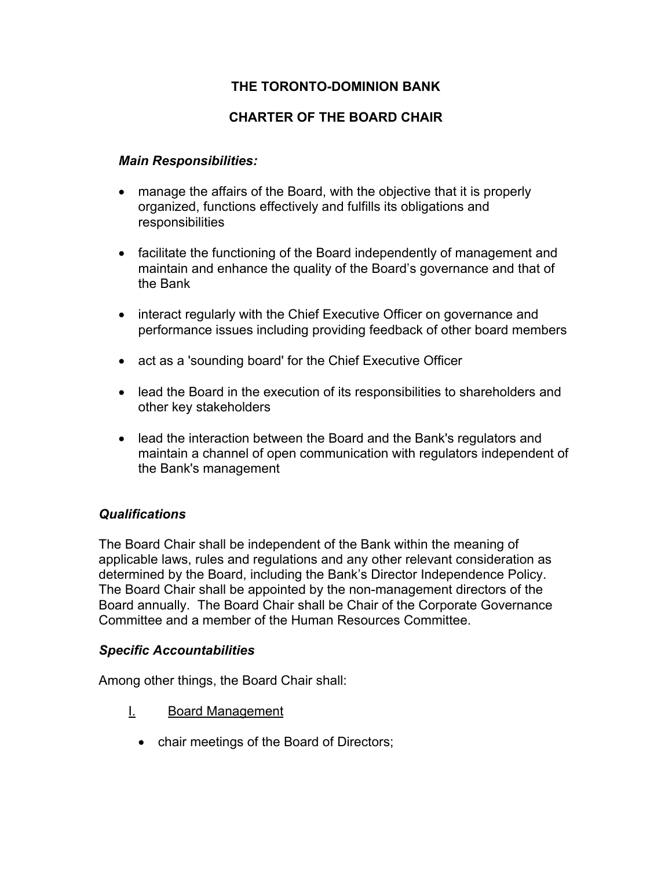# **THE TORONTO-DOMINION BANK**

# **CHARTER OF THE BOARD CHAIR**

#### *Main Responsibilities:*

- manage the affairs of the Board, with the objective that it is properly organized, functions effectively and fulfills its obligations and responsibilities
- facilitate the functioning of the Board independently of management and maintain and enhance the quality of the Board's governance and that of the Bank
- interact regularly with the Chief Executive Officer on governance and performance issues including providing feedback of other board members
- act as a 'sounding board' for the Chief Executive Officer
- lead the Board in the execution of its responsibilities to shareholders and other key stakeholders
- lead the interaction between the Board and the Bank's regulators and maintain a channel of open communication with regulators independent of the Bank's management

## *Qualifications*

The Board Chair shall be independent of the Bank within the meaning of applicable laws, rules and regulations and any other relevant consideration as determined by the Board, including the Bank's Director Independence Policy. The Board Chair shall be appointed by the non-management directors of the Board annually. The Board Chair shall be Chair of the Corporate Governance Committee and a member of the Human Resources Committee.

#### *Specific Accountabilities*

Among other things, the Board Chair shall:

- I. Board Management
	- chair meetings of the Board of Directors;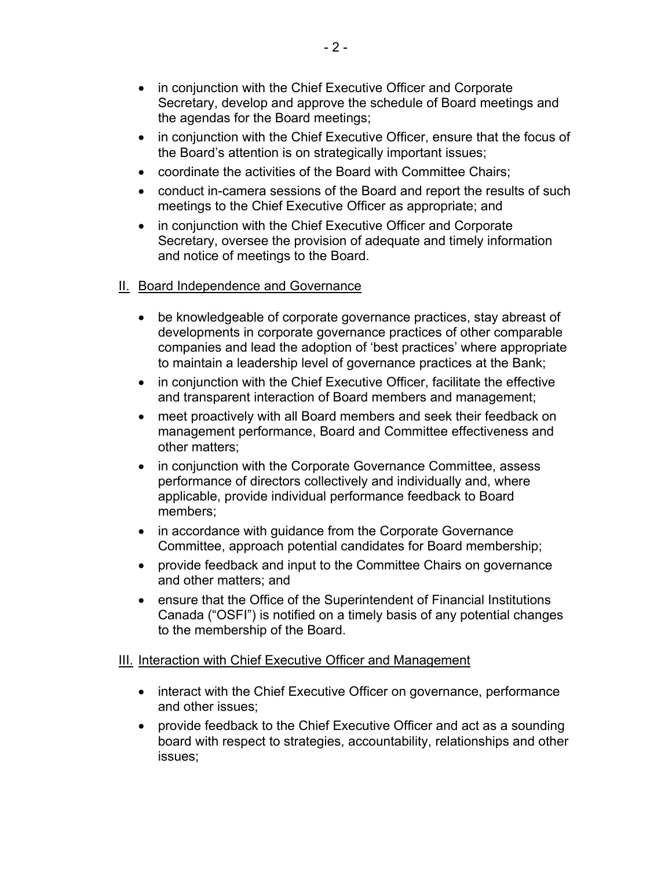- in conjunction with the Chief Executive Officer and Corporate Secretary, develop and approve the schedule of Board meetings and the agendas for the Board meetings;
- in conjunction with the Chief Executive Officer, ensure that the focus of the Board's attention is on strategically important issues;
- coordinate the activities of the Board with Committee Chairs;
- conduct in-camera sessions of the Board and report the results of such meetings to the Chief Executive Officer as appropriate; and
- in conjunction with the Chief Executive Officer and Corporate Secretary, oversee the provision of adequate and timely information and notice of meetings to the Board.

## II. Board Independence and Governance

- be knowledgeable of corporate governance practices, stay abreast of developments in corporate governance practices of other comparable companies and lead the adoption of 'best practices' where appropriate to maintain a leadership level of governance practices at the Bank;
- in conjunction with the Chief Executive Officer, facilitate the effective and transparent interaction of Board members and management;
- meet proactively with all Board members and seek their feedback on management performance, Board and Committee effectiveness and other matters;
- in conjunction with the Corporate Governance Committee, assess performance of directors collectively and individually and, where applicable, provide individual performance feedback to Board members;
- in accordance with guidance from the Corporate Governance Committee, approach potential candidates for Board membership;
- provide feedback and input to the Committee Chairs on governance and other matters; and
- ensure that the Office of the Superintendent of Financial Institutions Canada ("OSFI") is notified on a timely basis of any potential changes to the membership of the Board.

#### III. Interaction with Chief Executive Officer and Management

- interact with the Chief Executive Officer on governance, performance and other issues;
- provide feedback to the Chief Executive Officer and act as a sounding board with respect to strategies, accountability, relationships and other issues;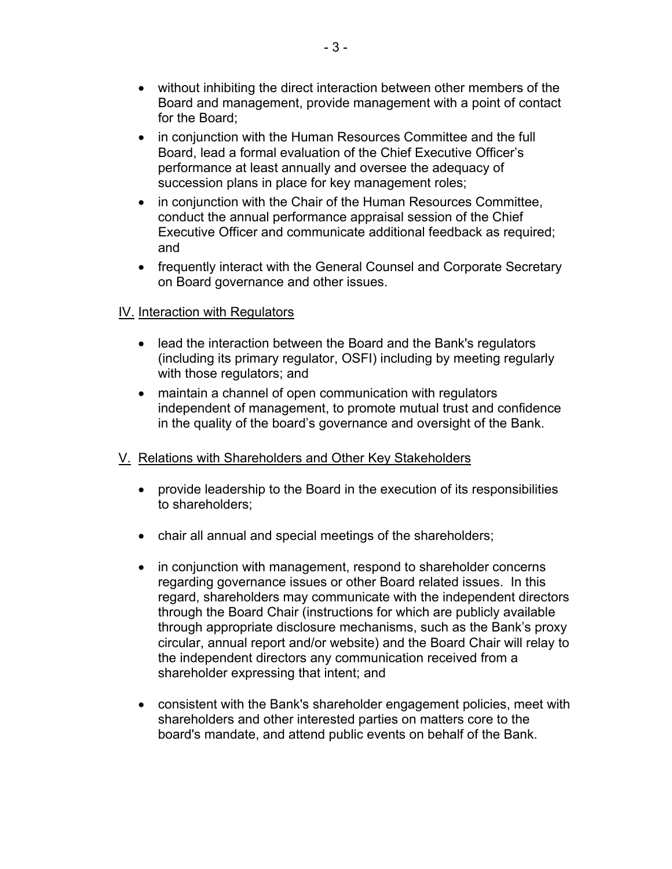- without inhibiting the direct interaction between other members of the Board and management, provide management with a point of contact for the Board;
- in conjunction with the Human Resources Committee and the full Board, lead a formal evaluation of the Chief Executive Officer's performance at least annually and oversee the adequacy of succession plans in place for key management roles;
- in conjunction with the Chair of the Human Resources Committee, conduct the annual performance appraisal session of the Chief Executive Officer and communicate additional feedback as required; and
- frequently interact with the General Counsel and Corporate Secretary on Board governance and other issues.

## IV. Interaction with Regulators

- lead the interaction between the Board and the Bank's regulators (including its primary regulator, OSFI) including by meeting regularly with those regulators; and
- maintain a channel of open communication with regulators independent of management, to promote mutual trust and confidence in the quality of the board's governance and oversight of the Bank.

## V. Relations with Shareholders and Other Key Stakeholders

- provide leadership to the Board in the execution of its responsibilities to shareholders;
- chair all annual and special meetings of the shareholders;
- in conjunction with management, respond to shareholder concerns regarding governance issues or other Board related issues. In this regard, shareholders may communicate with the independent directors through the Board Chair (instructions for which are publicly available through appropriate disclosure mechanisms, such as the Bank's proxy circular, annual report and/or website) and the Board Chair will relay to the independent directors any communication received from a shareholder expressing that intent; and
- consistent with the Bank's shareholder engagement policies, meet with shareholders and other interested parties on matters core to the board's mandate, and attend public events on behalf of the Bank.